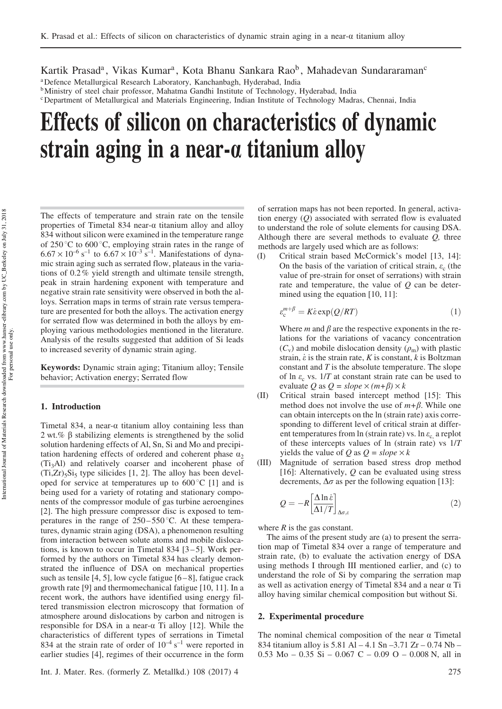Kartik Prasad<sup>a</sup>, Vikas Kumar<sup>a</sup>, Kota Bhanu Sankara Rao<sup>b</sup>, Mahadevan Sundararaman<sup>c</sup>

<sup>a</sup>Defence Metallurgical Research Laboratory, Kanchanbagh, Hyderabad, India

**b**Ministry of steel chair professor, Mahatma Gandhi Institute of Technology, Hyderabad, India <sup>c</sup>Department of Metallurgical and Materials Engineering, Indian Institute of Technology Madras, Chennai, India

# Effects of silicon on characteristics of dynamic strain aging in a near-a titanium alloy

The effects of temperature and strain rate on the tensile properties of Timetal 834 near-a titanium alloy and alloy 834 without silicon were examined in the temperature range of 250 $\degree$ C to 600 $\degree$ C, employing strain rates in the range of  $6.67 \times 10^{-6}$  s<sup>-1</sup> to  $6.67 \times 10^{-3}$  s<sup>-1</sup>. Manifestations of dynamic strain aging such as serrated flow, plateaus in the variations of 0.2% yield strength and ultimate tensile strength, peak in strain hardening exponent with temperature and negative strain rate sensitivity were observed in both the alloys. Serration maps in terms of strain rate versus temperature are presented for both the alloys. The activation energy for serrated flow was determined in both the alloys by employing various methodologies mentioned in the literature. Analysis of the results suggested that addition of Si leads to increased severity of dynamic strain aging.

Keywords: Dynamic strain aging; Titanium alloy; Tensile behavior; Activation energy; Serrated flow

## 1. Introduction

Timetal 834, a near- $\alpha$  titanium alloy containing less than 2 wt.%  $\beta$  stabilizing elements is strengthened by the solid solution hardening effects of Al, Sn, Si and Mo and precipitation hardening effects of ordered and coherent phase  $a_2$ (Ti3Al) and relatively coarser and incoherent phase of  $(Ti,Zr)_{5}Si_{5}$  type silicides [1, 2]. The alloy has been developed for service at temperatures up to  $600\degree\text{C}$  [1] and is being used for a variety of rotating and stationary components of the compressor module of gas turbine aeroengines [2]. The high pressure compressor disc is exposed to temperatures in the range of  $250-550^{\circ}$ C. At these temperatures, dynamic strain aging (DSA), a phenomenon resulting from interaction between solute atoms and mobile dislocations, is known to occur in Timetal 834  $[3-5]$ . Work performed by the authors on Timetal 834 has clearly demonstrated the influence of DSA on mechanical properties such as tensile  $[4, 5]$ , low cycle fatigue  $[6-8]$ , fatigue crack growth rate [9] and thermomechanical fatigue [10, 11]. In a recent work, the authors have identified using energy filtered transmission electron microscopy that formation of atmosphere around dislocations by carbon and nitrogen is responsible for DSA in a near- $\alpha$  Ti alloy [12]. While the characteristics of different types of serrations in Timetal 834 at the strain rate of order of  $10^{-4}$  s<sup>-1</sup> were reported in earlier studies [4], regimes of their occurrence in the form

Int. J. Mater. Res. (formerly Z. Metallkd.) 108 (2017) 4 275

of serration maps has not been reported. In general, activation energy  $(Q)$  associated with serrated flow is evaluated to understand the role of solute elements for causing DSA. Although there are several methods to evaluate  $Q$ , three methods are largely used which are as follows:

(I) Critical strain based McCormick's model [13, 14]: On the basis of the variation of critical strain,  $\varepsilon_c$  (the value of pre-strain for onset of serrations) with strain rate and temperature, the value of  $Q$  can be determined using the equation [10, 11]:

$$
\varepsilon_c^{m+\beta} = K \varepsilon \exp(Q/RT) \tag{1}
$$

Where  $m$  and  $\beta$  are the respective exponents in the relations for the variations of vacancy concentration  $(C_v)$  and mobile dislocation density  $(\rho_m)$  with plastic strain,  $\dot{\varepsilon}$  is the strain rate, K is constant, k is Boltzman constant and  $T$  is the absolute temperature. The slope of ln  $\varepsilon_c$  vs.  $1/T$  at constant strain rate can be used to evaluate Q as  $Q = slope \times (m+\beta) \times k$ 

- (II) Critical strain based intercept method [15]: This method does not involve the use of  $m+\beta$ . While one can obtain intercepts on the ln (strain rate) axis corresponding to different level of critical strain at different temperatures from ln (strain rate) vs. ln  $\varepsilon_c$  a replot of these intercepts values of ln (strain rate) vs 1/T yields the value of Q as  $Q = slope \times k$
- (III) Magnitude of serration based stress drop method [16]: Alternatively,  $Q$  can be evaluated using stress decrements,  $\Delta \sigma$  as per the following equation [13]:

$$
Q = -R \left[ \frac{\Delta \ln \dot{\varepsilon}}{\Delta 1/T} \right]_{\Delta \sigma, \varepsilon}
$$
 (2)

where  $R$  is the gas constant.

The aims of the present study are (a) to present the serration map of Timetal 834 over a range of temperature and strain rate, (b) to evaluate the activation energy of DSA using methods I through III mentioned earlier, and (c) to understand the role of Si by comparing the serration map as well as activation energy of Timetal 834 and a near  $\alpha$  Ti alloy having similar chemical composition but without Si.

#### 2. Experimental procedure

The nominal chemical composition of the near  $\alpha$  Timetal 834 titanium alloy is 5.81 Al – 4.1 Sn –3.71 Zr – 0.74 Nb – 0.53 Mo – 0.35 Si – 0.067 C – 0.09 O – 0.008 N, all in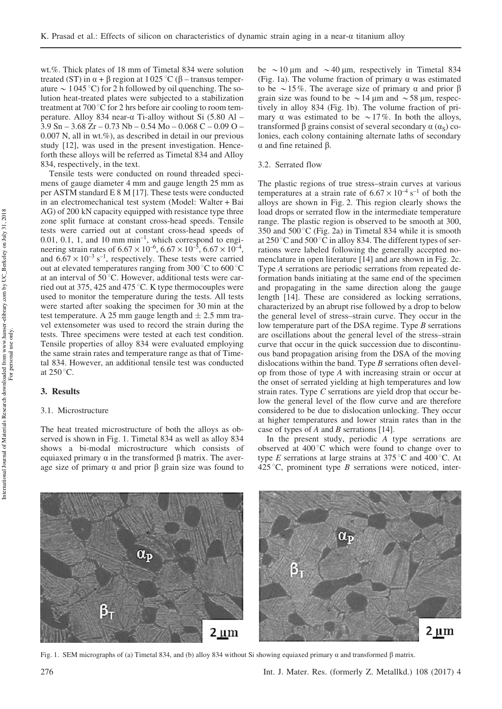wt.%. Thick plates of 18 mm of Timetal 834 were solution treated (ST) in  $\alpha$  +  $\beta$  region at 1025 °C ( $\beta$  – transus temperature  $\sim 1045 \degree C$ ) for 2 h followed by oil quenching. The solution heat-treated plates were subjected to a stabilization treatment at 700 $\degree$ C for 2 hrs before air cooling to room temperature. Alloy 834 near- $\alpha$  Ti-alloy without Si (5.80 Al – 3.9 Sn – 3.68 Zr – 0.73 Nb – 0.54 Mo – 0.068 C – 0.09 O –  $0.007$  N, all in wt.%), as described in detail in our previous study [12], was used in the present investigation. Henceforth these alloys will be referred as Timetal 834 and Alloy 834, respectively, in the text.

Tensile tests were conducted on round threaded specimens of gauge diameter 4 mm and gauge length 25 mm as per ASTM standard E 8 M [17]. These tests were conducted in an electromechanical test system (Model: Walter + Bai AG) of 200 kN capacity equipped with resistance type three zone split furnace at constant cross-head speeds. Tensile tests were carried out at constant cross-head speeds of  $0.01, 0.1, 1$ , and  $10 \text{ mm min}^{-1}$ , which correspond to engineering strain rates of  $6.67 \times 10^{-6}$ ,  $6.67 \times 10^{-5}$ ,  $6.67 \times 10^{-4}$ , and  $6.67 \times 10^{-3}$  s<sup>-1</sup>, respectively. These tests were carried out at elevated temperatures ranging from  $300^{\circ}$ C to  $600^{\circ}$ C at an interval of  $50^{\circ}$ C. However, additional tests were carried out at 375, 425 and 475 °C. K type thermocouples were used to monitor the temperature during the tests. All tests were started after soaking the specimen for 30 min at the test temperature. A 25 mm gauge length and  $\pm$  2.5 mm travel extensometer was used to record the strain during the tests. Three specimens were tested at each test condition. Tensile properties of alloy 834 were evaluated employing the same strain rates and temperature range as that of Timetal 834. However, an additional tensile test was conducted at  $250^{\circ}$ C.

### 3. Results

#### 3.1. Microstructure

The heat treated microstructure of both the alloys as observed is shown in Fig. 1. Timetal 834 as well as alloy 834 shows a bi-modal microstructure which consists of equiaxed primary  $\alpha$  in the transformed  $\beta$  matrix. The average size of primary  $\alpha$  and prior  $\beta$  grain size was found to be  $\sim$  10 µm and  $\sim$  40 µm, respectively in Timetal 834 (Fig. 1a). The volume fraction of primary  $\alpha$  was estimated to be  $\sim$  15%. The average size of primary  $\alpha$  and prior  $\beta$ grain size was found to be  $\sim$  14 µm and  $\sim$  58 µm, respectively in alloy 834 (Fig. 1b). The volume fraction of primary  $\alpha$  was estimated to be  $\sim$  17%. In both the alloys, transformed  $\beta$  grains consist of several secondary  $\alpha$  ( $\alpha$ <sub>S</sub>) colonies, each colony containing alternate laths of secondary  $\alpha$  and fine retained  $\beta$ .

#### 3.2. Serrated flow

The plastic regions of true stress–strain curves at various temperatures at a strain rate of  $6.67 \times 10^{-4}$  s<sup>-1</sup> of both the alloys are shown in Fig. 2. This region clearly shows the load drops or serrated flow in the intermediate temperature range. The plastic region is observed to be smooth at 300, 350 and 500 $\degree$ C (Fig. 2a) in Timetal 834 while it is smooth at  $250^{\circ}$ C and  $500^{\circ}$ C in alloy 834. The different types of serrations were labeled following the generally accepted nomenclature in open literature [14] and are shown in Fig. 2c. Type A serrations are periodic serrations from repeated deformation bands initiating at the same end of the specimen and propagating in the same direction along the gauge length [14]. These are considered as locking serrations, characterized by an abrupt rise followed by a drop to below the general level of stress–strain curve. They occur in the low temperature part of the DSA regime. Type B serrations are oscillations about the general level of the stress–strain curve that occur in the quick succession due to discontinuous band propagation arising from the DSA of the moving dislocations within the band. Type  $B$  serrations often develop from those of type A with increasing strain or occur at the onset of serrated yielding at high temperatures and low strain rates. Type C serrations are yield drop that occur below the general level of the flow curve and are therefore considered to be due to dislocation unlocking. They occur at higher temperatures and lower strain rates than in the case of types of A and B serrations [14].

In the present study, periodic A type serrations are observed at  $400^{\circ}$ C which were found to change over to type E serrations at large strains at  $375^{\circ}$ C and  $400^{\circ}$ C. At 425 °C, prominent type *B* serrations were noticed, inter-



Fig. 1. SEM micrographs of (a) Timetal 834, and (b) alloy 834 without Si showing equiaxed primary  $\alpha$  and transformed  $\beta$  matrix.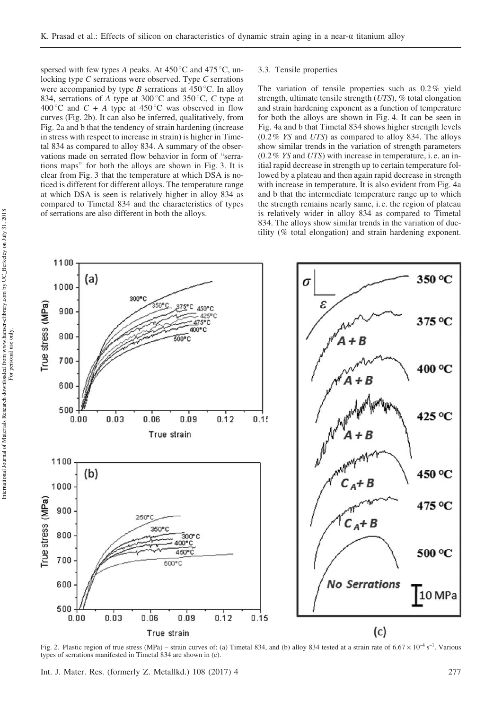spersed with few types A peaks. At  $450^{\circ}$ C and  $475^{\circ}$ C, unlocking type C serrations were observed. Type C serrations were accompanied by type B serrations at  $450^{\circ}$ C. In alloy 834, serrations of A type at 300 °C and 350 °C, C type at 400 °C and C + A type at 450 °C was observed in flow curves (Fig. 2b). It can also be inferred, qualitatively, from Fig. 2a and b that the tendency of strain hardening (increase in stress with respect to increase in strain) is higher in Timetal 834 as compared to alloy 834. A summary of the observations made on serrated flow behavior in form of "serrations maps" for both the alloys are shown in Fig. 3. It is clear from Fig. 3 that the temperature at which DSA is noticed is different for different alloys. The temperature range at which DSA is seen is relatively higher in alloy 834 as compared to Timetal 834 and the characteristics of types of serrations are also different in both the alloys.

#### 3.3. Tensile properties

The variation of tensile properties such as 0.2% yield strength, ultimate tensile strength (UTS), % total elongation and strain hardening exponent as a function of temperature for both the alloys are shown in Fig. 4. It can be seen in Fig. 4a and b that Timetal 834 shows higher strength levels (0.2% YS and UTS) as compared to alloy 834. The alloys show similar trends in the variation of strength parameters  $(0.2\%$  YS and UTS) with increase in temperature, i.e. an initial rapid decrease in strength up to certain temperature followed by a plateau and then again rapid decrease in strength with increase in temperature. It is also evident from Fig. 4a and b that the intermediate temperature range up to which the strength remains nearly same, i. e. the region of plateau is relatively wider in alloy 834 as compared to Timetal 834. The alloys show similar trends in the variation of ductility (% total elongation) and strain hardening exponent.



Fig. 2. Plastic region of true stress (MPa) – strain curves of: (a) Timetal 834, and (b) alloy 834 tested at a strain rate of  $6.67 \times 10^{-4}$  s<sup>-1</sup>. Various types of serrations manifested in Timetal 834 are shown in (c).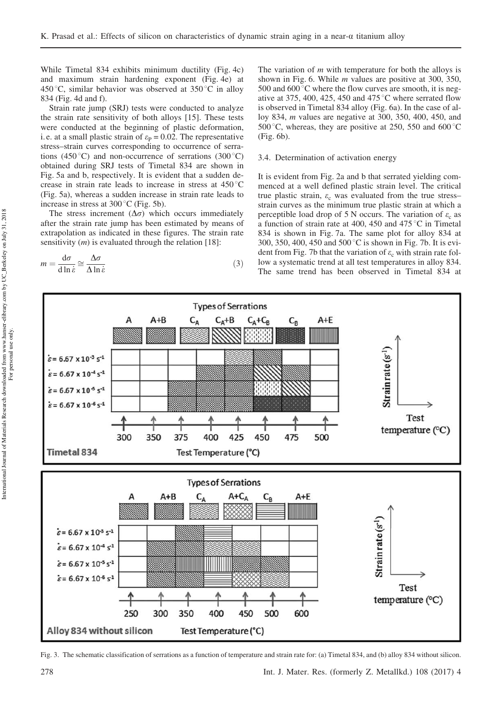While Timetal 834 exhibits minimum ductility (Fig. 4c) and maximum strain hardening exponent (Fig. 4e) at 450 °C, similar behavior was observed at  $350$  °C in alloy 834 (Fig. 4d and f).

Strain rate jump (SRJ) tests were conducted to analyze the strain rate sensitivity of both alloys [15]. These tests were conducted at the beginning of plastic deformation, i.e. at a small plastic strain of  $\varepsilon_P = 0.02$ . The representative stress–strain curves corresponding to occurrence of serrations (450 °C) and non-occurrence of serrations (300 °C) obtained during SRJ tests of Timetal 834 are shown in Fig. 5a and b, respectively. It is evident that a sudden decrease in strain rate leads to increase in stress at  $450^{\circ}$ C (Fig. 5a), whereas a sudden increase in strain rate leads to increase in stress at  $300^{\circ}$ C (Fig. 5b).

The stress increment  $(\Delta \sigma)$  which occurs immediately after the strain rate jump has been estimated by means of extrapolation as indicated in these figures. The strain rate sensitivity  $(m)$  is evaluated through the relation [18]:

$$
m = \frac{\mathrm{d}\sigma}{\mathrm{d}\ln\dot{\varepsilon}} \cong \frac{\Delta\sigma}{\Delta\ln\dot{\varepsilon}}\tag{3}
$$

The variation of  $m$  with temperature for both the alloys is shown in Fig. 6. While m values are positive at 300, 350, 500 and  $600^{\circ}$ C where the flow curves are smooth, it is negative at 375, 400, 425, 450 and 475 $\degree$ C where serrated flow is observed in Timetal 834 alloy (Fig. 6a). In the case of alloy 834, m values are negative at 300, 350, 400, 450, and 500 °C, whereas, they are positive at 250, 550 and 600 °C (Fig. 6b).

3.4. Determination of activation energy

It is evident from Fig. 2a and b that serrated yielding commenced at a well defined plastic strain level. The critical true plastic strain,  $\varepsilon_c$  was evaluated from the true stress– strain curves as the minimum true plastic strain at which a perceptible load drop of 5 N occurs. The variation of  $\varepsilon_c$  as a function of strain rate at 400, 450 and 475 °C in Timetal 834 is shown in Fig. 7a. The same plot for alloy 834 at 300, 350, 400, 450 and 500 °C is shown in Fig. 7b. It is evident from Fig. 7b that the variation of  $\varepsilon_c$  with strain rate follow a systematic trend at all test temperatures in alloy 834. The same trend has been observed in Timetal 834 at



Fig. 3. The schematic classification of serrations as a function of temperature and strain rate for: (a) Timetal 834, and (b) alloy 834 without silicon.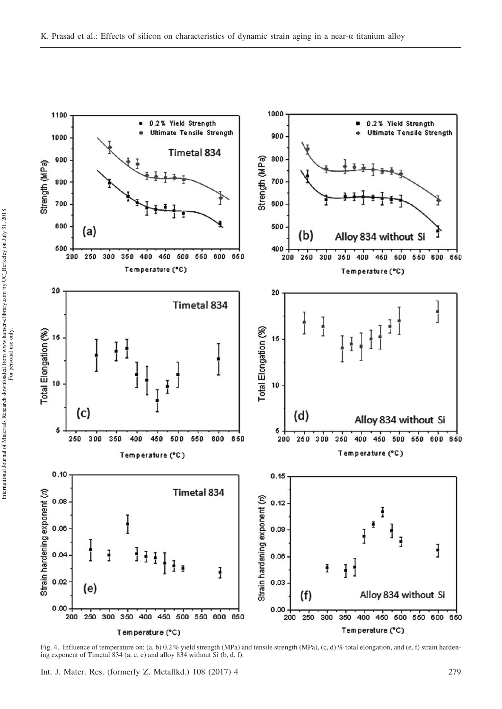

Fig. 4. Influence of temperature on: (a, b) 0.2% yield strength (MPa) and tensile strength (MPa), (c, d) % total elongation, and (e, f) strain hardening exponent of Timetal 834 (a, c, e) and alloy 834 without Si (b, d, f).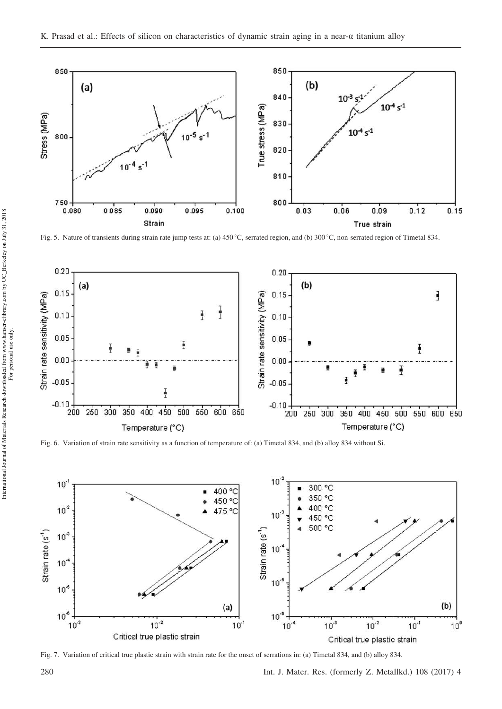

Fig. 5. Nature of transients during strain rate jump tests at: (a) 450 °C, serrated region, and (b) 300 °C, non-serrated region of Timetal 834.



Fig. 6. Variation of strain rate sensitivity as a function of temperature of: (a) Timetal 834, and (b) alloy 834 without Si.



Fig. 7. Variation of critical true plastic strain with strain rate for the onset of serrations in: (a) Timetal 834, and (b) alloy 834.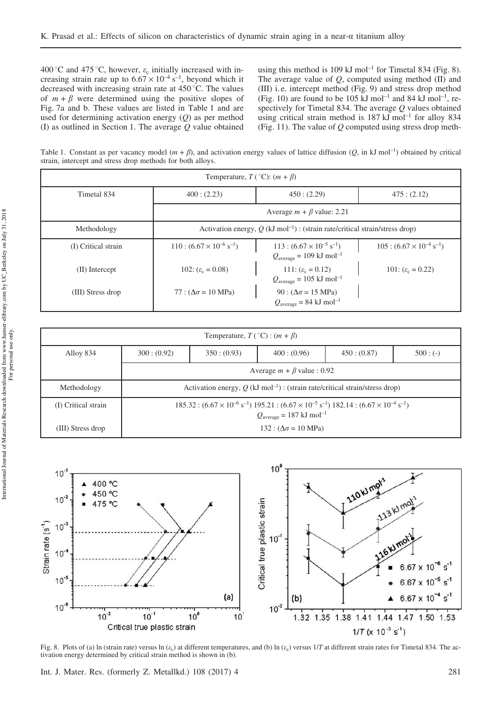400 °C and 475 °C, however,  $\varepsilon_c$  initially increased with increasing strain rate up to  $6.67 \times 10^{-4}$  s<sup>-1</sup>, beyond which it decreased with increasing strain rate at  $450^{\circ}$ C. The values of  $m + \beta$  were determined using the positive slopes of Fig. 7a and b. These values are listed in Table 1 and are used for determining activation energy  $(Q)$  as per method (I) as outlined in Section 1. The average Q value obtained using this method is 109 kJ mol<sup>-1</sup> for Timetal 834 (Fig. 8). The average value of  $Q$ , computed using method  $(II)$  and (III) i. e. intercept method (Fig. 9) and stress drop method (Fig. 10) are found to be  $105 \text{ kJ}$  mol<sup>-1</sup> and 84 kJ mol<sup>-1</sup>, respectively for Timetal 834. The average Q values obtained using critical strain method is  $187 \text{ kJ} \text{ mol}^{-1}$  for alloy 834 (Fig. 11). The value of  $Q$  computed using stress drop meth-

Table 1. Constant as per vacancy model  $(m + \beta)$ , and activation energy values of lattice diffusion  $(Q, \text{ in kJ mol}^{-1})$  obtained by critical strain, intercept and stress drop methods for both alloys.

| Temperature, $T({}^{\circ}C)$ : $(m + \beta)$ |                                                                                            |                                                                                            |                                          |  |  |  |
|-----------------------------------------------|--------------------------------------------------------------------------------------------|--------------------------------------------------------------------------------------------|------------------------------------------|--|--|--|
| Timetal 834                                   | 400:(2.23)                                                                                 | 450:(2.29)                                                                                 |                                          |  |  |  |
|                                               | Average $m + \beta$ value: 2.21                                                            |                                                                                            |                                          |  |  |  |
| Methodology                                   | Activation energy, $Q$ (kJ mol <sup>-1</sup> ) : (strain rate/critical strain/stress drop) |                                                                                            |                                          |  |  |  |
| (I) Critical strain                           | $110:(6.67\times10^{-6} \text{ s}^{-1})$                                                   | $113:(6.67\times10^{-5} \text{ s}^{-1})$<br>$Q_{\text{average}} = 109 \text{ kJ mol}^{-1}$ | $105:(6.67\times10^{-4} \text{ s}^{-1})$ |  |  |  |
| (II) Intercept                                | 102: $(\varepsilon_c = 0.08)$                                                              | 111: $(\varepsilon_c = 0.12)$<br>$Q_{\text{average}} = 105 \text{ kJ mol}^{-1}$            | 101: $(\varepsilon_c = 0.22)$            |  |  |  |
| (III) Stress drop                             | 77 : $(\Delta \sigma = 10 \text{ MPa})$                                                    | 90 : $(\Delta \sigma = 15 \text{ MPa})$<br>$Q_{\text{average}} = 84 \text{ kJ mol}^{-1}$   |                                          |  |  |  |

| Temperature, $T({}^{\circ}C)$ : $(m + \beta)$ |                                                                                                                                                                                               |            |             |             |            |  |
|-----------------------------------------------|-----------------------------------------------------------------------------------------------------------------------------------------------------------------------------------------------|------------|-------------|-------------|------------|--|
| Alloy 834                                     | 300: (0.92)                                                                                                                                                                                   | 350:(0.93) | 400: (0.96) | 450: (0.87) | $500: (-)$ |  |
|                                               | Average $m + \beta$ value : 0.92                                                                                                                                                              |            |             |             |            |  |
| Methodology                                   | Activation energy, $Q$ (kJ mol <sup>-1</sup> ) : (strain rate/critical strain/stress drop)                                                                                                    |            |             |             |            |  |
| (I) Critical strain                           | $185.32 : (6.67 \times 10^{-6} \text{ s}^{-1}) 195.21 : (6.67 \times 10^{-5} \text{ s}^{-1}) 182.14 : (6.67 \times 10^{-4} \text{ s}^{-1})$<br>$Q_{\text{average}} = 187 \text{ kJ mol}^{-1}$ |            |             |             |            |  |
| (III) Stress drop                             | $132 : (\Delta \sigma = 10 \text{ MPa})$                                                                                                                                                      |            |             |             |            |  |



Fig. 8. Plots of (a) In (strain rate) versus In ( $\varepsilon_c$ ) at different temperatures, and (b) In ( $\varepsilon_c$ ) versus 1/T at different strain rates for Timetal 834. The activation energy determined by critical strain method is shown in (b).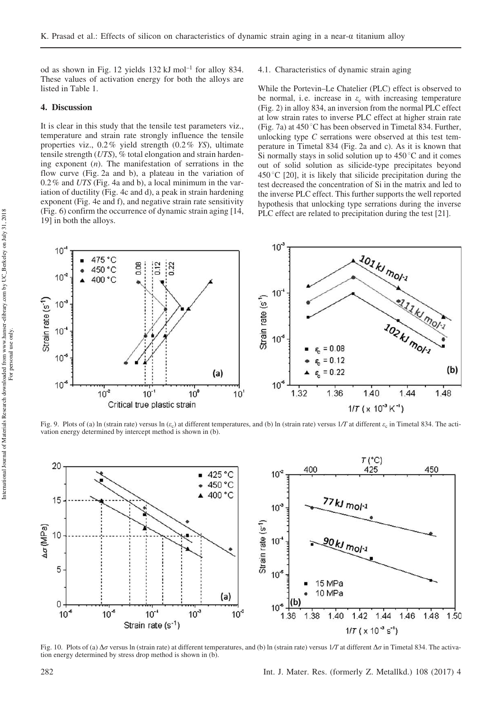od as shown in Fig. 12 yields 132 kJ mol–1 for alloy 834. These values of activation energy for both the alloys are listed in Table 1.

## 4. Discussion

It is clear in this study that the tensile test parameters viz., temperature and strain rate strongly influence the tensile properties viz., 0.2% yield strength (0.2% YS), ultimate tensile strength (UTS), % total elongation and strain hardening exponent  $(n)$ . The manifestation of serrations in the flow curve (Fig. 2a and b), a plateau in the variation of 0.2% and UTS (Fig. 4a and b), a local minimum in the variation of ductility (Fig. 4c and d), a peak in strain hardening exponent (Fig. 4e and f), and negative strain rate sensitivity (Fig. 6) confirm the occurrence of dynamic strain aging [14, 19] in both the alloys.

4.1. Characteristics of dynamic strain aging

While the Portevin–Le Chatelier (PLC) effect is observed to be normal, i.e. increase in  $\varepsilon_c$  with increasing temperature (Fig. 2) in alloy 834, an inversion from the normal PLC effect at low strain rates to inverse PLC effect at higher strain rate (Fig. 7a) at  $450^{\circ}$ C has been observed in Timetal 834. Further, unlocking type C serrations were observed at this test temperature in Timetal 834 (Fig. 2a and c). As it is known that Si normally stays in solid solution up to  $450\degree C$  and it comes out of solid solution as silicide-type precipitates beyond  $450^{\circ}$ C [20], it is likely that silicide precipitation during the test decreased the concentration of Si in the matrix and led to the inverse PLC effect. This further supports the well reported hypothesis that unlocking type serrations during the inverse PLC effect are related to precipitation during the test [21].



Fig. 9. Plots of (a) In (strain rate) versus  $\ln(e_c)$  at different temperatures, and (b) In (strain rate) versus 1/T at different  $e_c$  in Timetal 834. The activation energy determined by intercept method is shown in (b).



Fig. 10. Plots of (a)  $\Delta \sigma$  versus ln (strain rate) at different temperatures, and (b) ln (strain rate) versus 1/T at different  $\Delta \sigma$  in Timetal 834. The activation energy determined by stress drop method is shown in (b).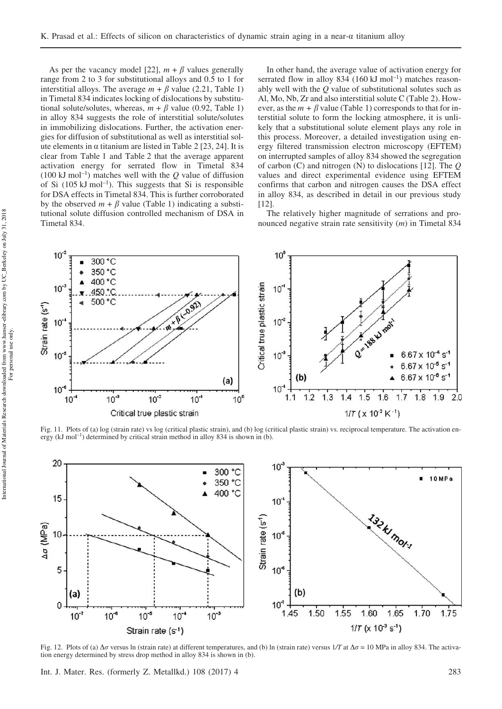As per the vacancy model [22],  $m + \beta$  values generally range from 2 to 3 for substitutional alloys and 0.5 to 1 for interstitial alloys. The average  $m + \beta$  value (2.21, Table 1) in Timetal 834 indicates locking of dislocations by substitutional solute/solutes, whereas,  $m + \beta$  value (0.92, Table 1) in alloy 834 suggests the role of interstitial solute/solutes in immobilizing dislocations. Further, the activation energies for diffusion of substitutional as well as interstitial solute elements in  $\alpha$  titanium are listed in Table 2 [23, 24]. It is clear from Table 1 and Table 2 that the average apparent activation energy for serrated flow in Timetal 834  $(100 \text{ kJ mol}^{-1})$  matches well with the Q value of diffusion of Si  $(105 \text{ kJ mol}^{-1})$ . This suggests that Si is responsible for DSA effects in Timetal 834. This is further corroborated by the observed  $m + \beta$  value (Table 1) indicating a substitutional solute diffusion controlled mechanism of DSA in Timetal 834.

In other hand, the average value of activation energy for serrated flow in alloy  $834 (160 \text{ kJ mol}^{-1})$  matches reasonably well with the  $\ddot{o}$  value of substitutional solutes such as Al, Mo, Nb, Zr and also interstitial solute C (Table 2). However, as the  $m + \beta$  value (Table 1) corresponds to that for interstitial solute to form the locking atmosphere, it is unlikely that a substitutional solute element plays any role in this process. Moreover, a detailed investigation using energy filtered transmission electron microscopy (EFTEM) on interrupted samples of alloy 834 showed the segregation of carbon (C) and nitrogen (N) to dislocations [12]. The Q values and direct experimental evidence using EFTEM confirms that carbon and nitrogen causes the DSA effect in alloy 834, as described in detail in our previous study [12].

The relatively higher magnitude of serrations and pronounced negative strain rate sensitivity (*m*) in Timetal 834



Fig. 11. Plots of (a) log (strain rate) vs log (critical plastic strain), and (b) log (critical plastic strain) vs. reciprocal temperature. The activation energy (kJ mol<sup>-1</sup>) determined by critical strain method in alloy 834 is shown in (b).



Fig. 12. Plots of (a)  $\Delta \sigma$  versus ln (strain rate) at different temperatures, and (b) ln (strain rate) versus  $1/T$  at  $\Delta \sigma = 10$  MPa in alloy 834. The activation energy determined by stress drop method in alloy 834 is shown in (b).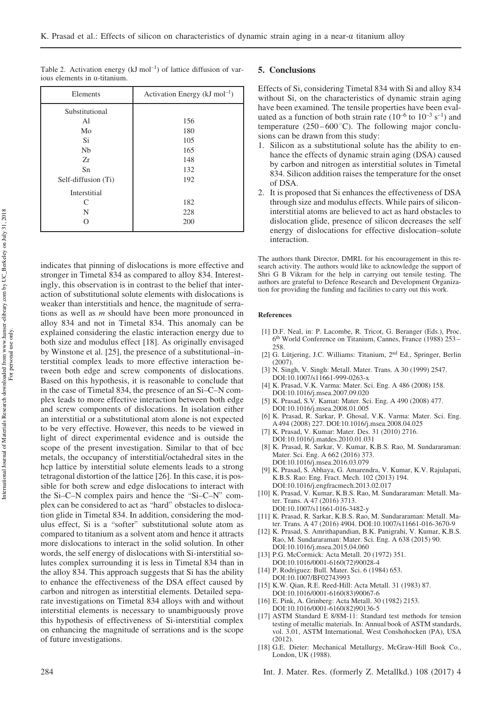| Elements            | Activation Energy ( $kJ \text{ mol}^{-1}$ ) |  |  |
|---------------------|---------------------------------------------|--|--|
| Substitutional      |                                             |  |  |
| Al                  | 156                                         |  |  |
| Mo                  | 180                                         |  |  |
| Si                  | 105                                         |  |  |
| Nb                  | 165                                         |  |  |
| Zr                  | 148                                         |  |  |
| Sn                  | 132                                         |  |  |
| Self-diffusion (Ti) | 192                                         |  |  |
| Interstitial        |                                             |  |  |
| C                   | 182                                         |  |  |
| N                   | 228                                         |  |  |
| ∩                   | 200                                         |  |  |

Table 2. Activation energy  $(kJ \mod 1^{-})$  of lattice diffusion of various elements in a-titanium.

indicates that pinning of dislocations is more effective and stronger in Timetal 834 as compared to alloy 834. Interestingly, this observation is in contrast to the belief that interaction of substitutional solute elements with dislocations is weaker than interstitials and hence, the magnitude of serrations as well as m should have been more pronounced in alloy 834 and not in Timetal 834. This anomaly can be explained considering the elastic interaction energy due to both size and modulus effect [18]. As originally envisaged by Winstone et al. [25], the presence of a substitutional–interstitial complex leads to more effective interaction between both edge and screw components of dislocations. Based on this hypothesis, it is reasonable to conclude that in the case of Timetal 834, the presence of an Si–C–N complex leads to more effective interaction between both edge and screw components of dislocations. In isolation either an interstitial or a substitutional atom alone is not expected to be very effective. However, this needs to be viewed in light of direct experimental evidence and is outside the scope of the present investigation. Similar to that of bcc metals, the occupancy of interstitial/octahedral sites in the hcp lattice by interstitial solute elements leads to a strong tetragonal distortion of the lattice [26]. In this case, it is possible for both screw and edge dislocations to interact with the Si–C–N complex pairs and hence the "Si–C–N" complex can be considered to act as "hard" obstacles to dislocation glide in Timetal 834. In addition, considering the modulus effect, Si is a "softer" substitutional solute atom as compared to titanium as a solvent atom and hence it attracts more dislocations to interact in the solid solution. In other words, the self energy of dislocations with Si-interstitial solutes complex surrounding it is less in Timetal 834 than in the alloy 834. This approach suggests that Si has the ability to enhance the effectiveness of the DSA effect caused by carbon and nitrogen as interstitial elements. Detailed separate investigations on Timetal 834 alloys with and without interstitial elements is necessary to unambiguously prove this hypothesis of effectiveness of Si-interstitial complex on enhancing the magnitude of serrations and is the scope of future investigations.

#### 5. Conclusions

Effects of Si, considering Timetal 834 with Si and alloy 834 without Si, on the characteristics of dynamic strain aging have been examined. The tensile properties have been evaluated as a function of both strain rate  $(10^{-6}$  to  $10^{-3}$  s<sup>-1</sup>) and temperature  $(250 - 600^{\circ} \text{C})$ . The following major conclusions can be drawn from this study:

- 1. Silicon as a substitutional solute has the ability to enhance the effects of dynamic strain aging (DSA) caused by carbon and nitrogen as interstitial solutes in Timetal 834. Silicon addition raises the temperature for the onset of DSA.
- 2. It is proposed that Si enhances the effectiveness of DSA through size and modulus effects. While pairs of siliconinterstitial atoms are believed to act as hard obstacles to dislocation glide, presence of silicon decreases the self energy of dislocations for effective dislocation–solute interaction.

The authors thank Director, DMRL for his encouragement in this research activity. The authors would like to acknowledge the support of Shri G B Vikram for the help in carrying out tensile testing. The authors are grateful to Defence Research and Development Organization for providing the funding and facilities to carry out this work.

#### References

- [1] D.F. Neal, in: P. Lacombe, R. Tricot, G. Beranger (Eds.), Proc. 6 th World Conference on Titanium, Cannes, France (1988) 253 – 258.
- [2] G. Lütjering, J.C. Williams: Titanium, 2nd Ed., Springer, Berlin (2007).
- [3] N. Singh, V. Singh: Metall. Mater. Trans. A 30 (1999) 2547. DOI:10.1007/s11661-999-0263-x
- [4] K. Prasad, V.K. Varma: Mater. Sci. Eng. A 486 (2008) 158. DOI:10.1016/j.msea.2007.09.020
- [5] K. Prasad, S.V. Kamat: Mater. Sci. Eng. A 490 (2008) 477. DOI:10.1016/j.msea.2008.01.005
- [6] K. Prasad, R. Sarkar, P. Ghosal, V.K. Varma: Mater. Sci. Eng. A 494 (2008) 227. DOI:10.1016/j.msea.2008.04.025
- [7] K. Prasad, V. Kumar: Mater. Des. 31 (2010) 2716. DOI:10.1016/j.matdes.2010.01.031
- [8] K. Prasad, R. Sarkar, V. Kumar, K.B.S. Rao, M. Sundararaman: Mater. Sci. Eng. A 662 (2016) 373. DOI:10.1016/j.msea.2016.03.079
- [9] K. Prasad, S. Abhaya, G. Amarendra, V. Kumar, K.V. Rajulapati, K.B.S. Rao: Eng. Fract. Mech. 102 (2013) 194. DOI:10.1016/j.engfracmech.2013.02.017
- [10] K. Prasad, V. Kumar, K.B.S. Rao, M. Sundararaman: Metall. Mater. Trans. A 47 (2016) 3713.
- DOI:10.1007/s11661-016-3482-y [11] K. Prasad, R. Sarkar, K.B.S. Rao, M. Sundararaman: Metall. Mater. Trans. A 47 (2016) 4904. DOI:10.1007/s11661-016-3670-9
- [12] K. Prasad, S. Amrithapandian, B.K. Panigrahi, V. Kumar, K.B.S. Rao, M. Sundararaman: Mater. Sci. Eng. A 638 (2015) 90.
- DOI:10.1016/j.msea.2015.04.060 [13] P.G. McCormick: Acta Metall. 20 (1972) 351. DOI:10.1016/0001-6160(72)90028-4
- [14] P. Rodriguez: Bull. Mater. Sci. 6 (1984) 653. DOI:10.1007/BF02743993
- [15] K.W. Qian, R.E. Reed-Hill: Acta Metall. 31 (1983) 87. DOI:10.1016/0001-6160(83)90067-6
- [16] E. Pink, A. Grinberg: Acta Metall. 30 (1982) 2153. DOI:10.1016/0001-6160(82)90136-5
- [17] ASTM Standard E 8/8M-11: Standard test methods for tension testing of metallic materials. In: Annual book of ASTM standards, vol. 3.01, ASTM International, West Conshohocken (PA), USA (2012).
- [18] G.E. Dieter: Mechanical Metallurgy, McGraw-Hill Book Co., London, UK (1988).